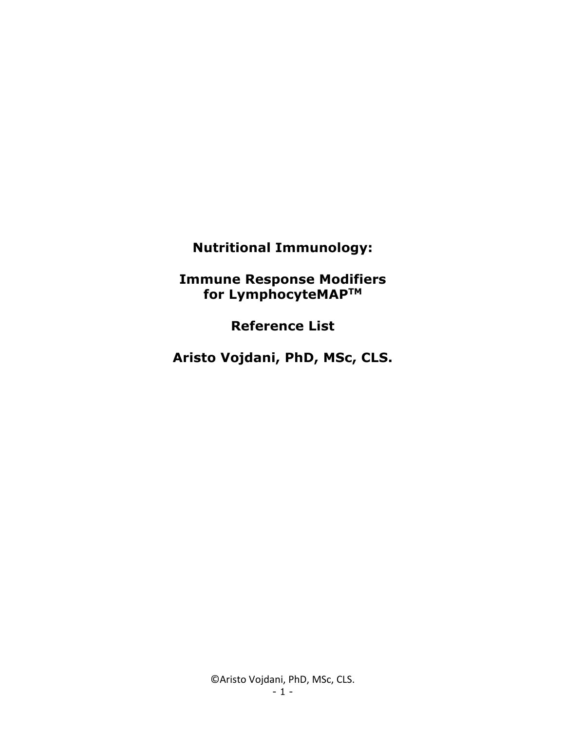**Nutritional Immunology:**

**Immune Response Modifiers for LymphocyteMAPTM**

**Reference List**

**Aristo Vojdani, PhD, MSc, CLS.**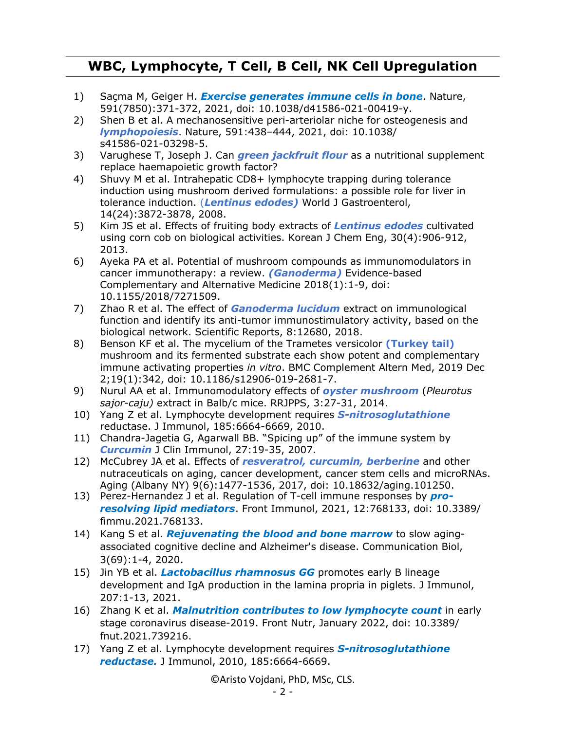## **WBC, Lymphocyte, T Cell, B Cell, NK Cell Upregulation**

- 1) Saçma M, Geiger H. *Exercise generates immune cells in bone*. Nature, 591(7850):371-372, 2021, doi: 10.1038/d41586-021-00419-y.
- 2) Shen B et al. A mechanosensitive peri-arteriolar niche for osteogenesis and *lymphopoiesis*. Nature, 591:438–444, 2021, doi: 10.1038/ s41586-021-03298-5.
- 3) Varughese T, Joseph J. Can *green jackfruit flour* as a nutritional supplement replace haemapoietic growth factor?
- 4) Shuvy M et al. Intrahepatic CD8+ lymphocyte trapping during tolerance induction using mushroom derived formulations: a possible role for liver in tolerance induction. (*Lentinus edodes)* World J Gastroenterol, 14(24):3872-3878, 2008.
- 5) Kim JS et al. Effects of fruiting body extracts of *Lentinus edodes* cultivated using corn cob on biological activities. Korean J Chem Eng, 30(4):906-912, 2013.
- 6) Ayeka PA et al. Potential of mushroom compounds as immunomodulators in cancer immunotherapy: a review. *(Ganoderma)* Evidence-based Complementary and Alternative Medicine 2018(1):1-9, doi: 10.1155/2018/7271509.
- 7) Zhao R et al. The effect of *Ganoderma lucidum* extract on immunological function and identify its anti-tumor immunostimulatory activity, based on the biological network. Scientific Reports, 8:12680, 2018.
- 8) Benson KF et al. The mycelium of the Trametes versicolor **(Turkey tail)** mushroom and its fermented substrate each show potent and complementary immune activating properties *in vitro*. BMC Complement Altern Med, 2019 Dec 2;19(1):342, doi: 10.1186/s12906-019-2681-7.
- 9) Nurul AA et al. Immunomodulatory effects of *oyster mushroom* (*Pleurotus sajor-caju)* extract in Balb/c mice. RRJPPS, 3:27-31, 2014.
- 10) Yang Z et al. Lymphocyte development requires *S-nitrosoglutathione* reductase. J Immunol, 185:6664-6669, 2010.
- 11) Chandra-Jagetia G, Agarwall BB. "Spicing up" of the immune system by *Curcumin* J Clin Immunol, 27:19-35, 2007.
- 12) McCubrey JA et al. Effects of *resveratrol, curcumin, berberine* and other nutraceuticals on aging, cancer development, cancer stem cells and microRNAs. Aging (Albany NY) 9(6):1477-1536, 2017, doi: 10.18632/aging.101250.
- 13) Perez-Hernandez J et al. Regulation of T-cell immune responses by *proresolving lipid mediators*. Front Immunol, 2021, 12:768133, doi: 10.3389/ fimmu.2021.768133.
- 14) Kang S et al. *Rejuvenating the blood and bone marrow* to slow agingassociated cognitive decline and Alzheimer's disease. Communication Biol, 3(69):1-4, 2020.
- 15) Jin YB et al. *Lactobacillus rhamnosus GG* promotes early B lineage development and IgA production in the lamina propria in piglets. J Immunol, 207:1-13, 2021.
- 16) Zhang K et al. *Malnutrition contributes to low lymphocyte count* in early stage coronavirus disease-2019. Front Nutr, January 2022, doi: 10.3389/ fnut.2021.739216.
- 17) Yang Z et al. Lymphocyte development requires *S-nitrosoglutathione reductase.* J Immunol, 2010, 185:6664-6669.

©Aristo Vojdani, PhD, MSc, CLS.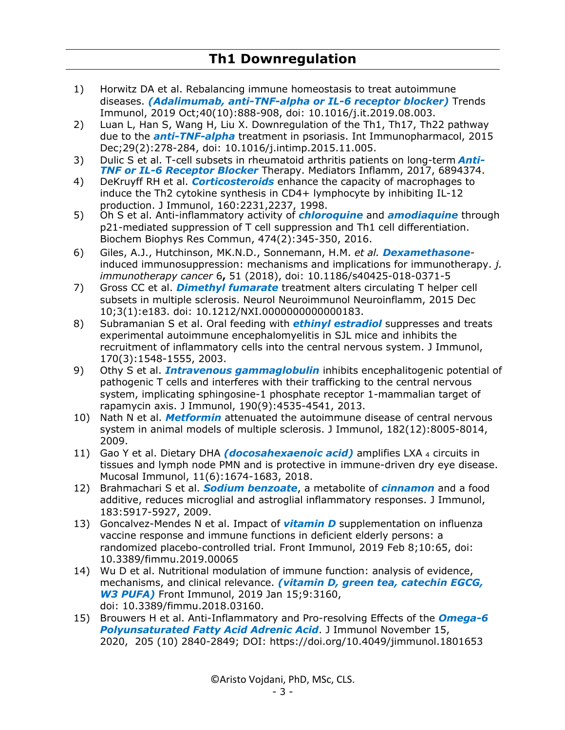- 1) Horwitz DA et al. Rebalancing immune homeostasis to treat autoimmune diseases. *(Adalimumab, anti-TNF-alpha or IL-6 receptor blocker)* Trends Immunol, 2019 Oct;40(10):888-908, doi: 10.1016/j.it.2019.08.003.
- 2) Luan L, Han S, Wang H, Liu X. Downregulation of the Th1, Th17, Th22 pathway due to the *anti-TNF-alpha* treatment in psoriasis. Int Immunopharmacol, 2015 Dec;29(2):278-284, doi: 10.1016/j.intimp.2015.11.005.
- 3) Dulic S et al. T-cell subsets in rheumatoid arthritis patients on long-term *Anti-TNF or IL-6 Receptor Blocker* Therapy. Mediators Inflamm, 2017, 6894374.
- 4) DeKruyff RH et al. *Corticosteroids* enhance the capacity of macrophages to induce the Th2 cytokine synthesis in CD4+ lymphocyte by inhibiting IL-12 production. J Immunol, 160:2231,2237, 1998.
- 5) Oh S et al. Anti-inflammatory activity of *chloroquine* and *amodiaquine* through p21-mediated suppression of T cell suppression and Th1 cell differentiation. Biochem Biophys Res Commun, 474(2):345-350, 2016.
- 6) Giles, A.J., Hutchinson, MK.N.D., Sonnemann, H.M. *et al. Dexamethasone*induced immunosuppression: mechanisms and implications for immunotherapy. *j. immunotherapy cancer* 6**,** 51 (2018), doi: 10.1186/s40425-018-0371-5
- 7) Gross CC et al. *Dimethyl fumarate* treatment alters circulating T helper cell subsets in multiple sclerosis. Neurol Neuroimmunol Neuroinflamm, 2015 Dec 10;3(1):e183. doi: 10.1212/NXI.0000000000000183.
- 8) Subramanian S et al. Oral feeding with *ethinyl estradiol* suppresses and treats experimental autoimmune encephalomyelitis in SJL mice and inhibits the recruitment of inflammatory cells into the central nervous system. J Immunol, 170(3):1548-1555, 2003.
- 9) Othy S et al. *Intravenous gammaglobulin* inhibits encephalitogenic potential of pathogenic T cells and interferes with their trafficking to the central nervous system, implicating sphingosine-1 phosphate receptor 1-mammalian target of rapamycin axis. J Immunol, 190(9):4535-4541, 2013.
- 10) Nath N et al. *Metformin* attenuated the autoimmune disease of central nervous system in animal models of multiple sclerosis. J Immunol, 182(12):8005-8014, 2009.
- 11) Gao Y et al. Dietary DHA *(docosahexaenoic acid)* amplifies LXA <sup>4</sup> circuits in tissues and lymph node PMN and is protective in immune-driven dry eye disease. Mucosal Immunol, 11(6):1674-1683, 2018.
- 12) Brahmachari S et al. *Sodium benzoate*, a metabolite of *cinnamon* and a food additive, reduces microglial and astroglial inflammatory responses. J Immunol, 183:5917-5927, 2009.
- 13) Goncalvez-Mendes N et al. Impact of *vitamin D* supplementation on influenza vaccine response and immune functions in deficient elderly persons: a randomized placebo-controlled trial. Front Immunol, 2019 Feb 8;10:65, doi: 10.3389/fimmu.2019.00065
- 14) Wu D et al. Nutritional modulation of immune function: analysis of evidence, mechanisms, and clinical relevance. *(vitamin D, green tea, catechin EGCG, W3 PUFA)* Front Immunol, 2019 Jan 15;9:3160, doi: 10.3389/fimmu.2018.03160.
- 15) Brouwers H et al. Anti-Inflammatory and Pro-resolving Effects of the *Omega-6 Polyunsaturated Fatty Acid Adrenic Acid*. J Immunol November 15, 2020, 205 (10) 2840-2849; DOI: https://doi.org/10.4049/jimmunol.1801653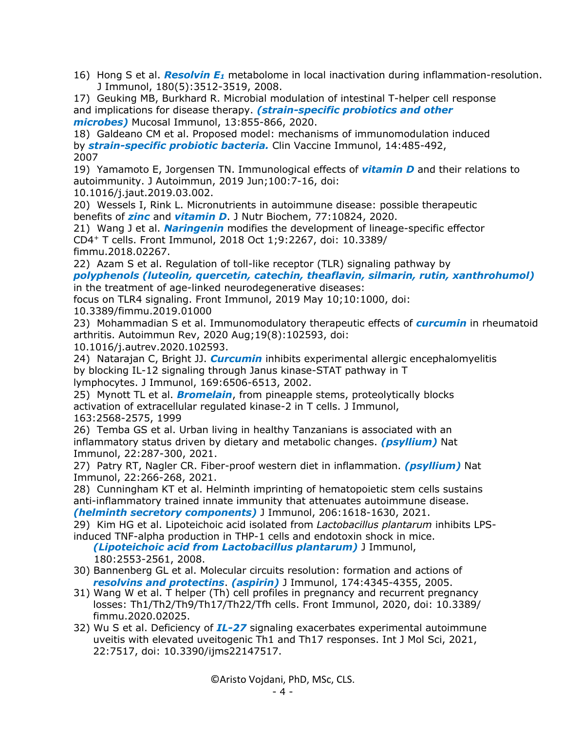16) Hong S et al. *Resolvin E<sup>1</sup>* metabolome in local inactivation during inflammation-resolution. J Immunol, 180(5):3512-3519, 2008.

17) Geuking MB, Burkhard R. Microbial modulation of intestinal T-helper cell response and implications for disease therapy. *(strain-specific probiotics and other microbes)* Mucosal Immunol, 13:855-866, 2020.

18) Galdeano CM et al. Proposed model: mechanisms of immunomodulation induced by *strain-specific probiotic bacteria.* Clin Vaccine Immunol, 14:485-492, 2007

19) Yamamoto E, Jorgensen TN. Immunological effects of *vitamin D* and their relations to autoimmunity. J Autoimmun, 2019 Jun;100:7-16, doi:

10.1016/j.jaut.2019.03.002.

20) Wessels I, Rink L. Micronutrients in autoimmune disease: possible therapeutic benefits of *zinc* and *vitamin D*. J Nutr Biochem, 77:10824, 2020.

21) Wang J et al. *Naringenin* modifies the development of lineage-specific effector CD4<sup>+</sup> T cells. Front Immunol, 2018 Oct 1;9:2267, doi: 10.3389/ fimmu.2018.02267.

22) Azam S et al. Regulation of toll-like receptor (TLR) signaling pathway by *polyphenols (luteolin, quercetin, catechin, theaflavin, silmarin, rutin, xanthrohumol)*

in the treatment of age-linked neurodegenerative diseases:

focus on TLR4 signaling. Front Immunol, 2019 May 10;10:1000, doi:

10.3389/fimmu.2019.01000

23) Mohammadian S et al. Immunomodulatory therapeutic effects of *curcumin* in rheumatoid arthritis. Autoimmun Rev, 2020 Aug;19(8):102593, doi:

10.1016/j.autrev.2020.102593.

24) Natarajan C, Bright JJ. *Curcumin* inhibits experimental allergic encephalomyelitis by blocking IL-12 signaling through Janus kinase-STAT pathway in T lymphocytes. J Immunol, 169:6506-6513, 2002.

25) Mynott TL et al. *Bromelain*, from pineapple stems, proteolytically blocks activation of extracellular regulated kinase-2 in T cells. J Immunol, 163:2568-2575, 1999

26) Temba GS et al. Urban living in healthy Tanzanians is associated with an inflammatory status driven by dietary and metabolic changes. *(psyllium)* Nat Immunol, 22:287-300, 2021.

27) Patry RT, Nagler CR. Fiber-proof western diet in inflammation. *(psyllium)* Nat Immunol, 22:266-268, 2021.

28) Cunningham KT et al. Helminth imprinting of hematopoietic stem cells sustains anti-inflammatory trained innate immunity that attenuates autoimmune disease. *(helminth secretory components)* J Immunol, 206:1618-1630, 2021.

29) Kim HG et al. Lipoteichoic acid isolated from *Lactobacillus plantarum* inhibits LPSinduced TNF-alpha production in THP-1 cells and endotoxin shock in mice.

 *(Lipoteichoic acid from Lactobacillus plantarum)* J Immunol, 180:2553-2561, 2008.

- 30) Bannenberg GL et al. Molecular circuits resolution: formation and actions of *resolvins and protectins*. *(aspirin)* J Immunol, 174:4345-4355, 2005.
- 31) Wang W et al. T helper (Th) cell profiles in pregnancy and recurrent pregnancy losses: Th1/Th2/Th9/Th17/Th22/Tfh cells. Front Immunol, 2020, doi: 10.3389/ fimmu.2020.02025.
- 32) Wu S et al. Deficiency of *IL-27* signaling exacerbates experimental autoimmune uveitis with elevated uveitogenic Th1 and Th17 responses. Int J Mol Sci, 2021, 22:7517, doi: 10.3390/ijms22147517.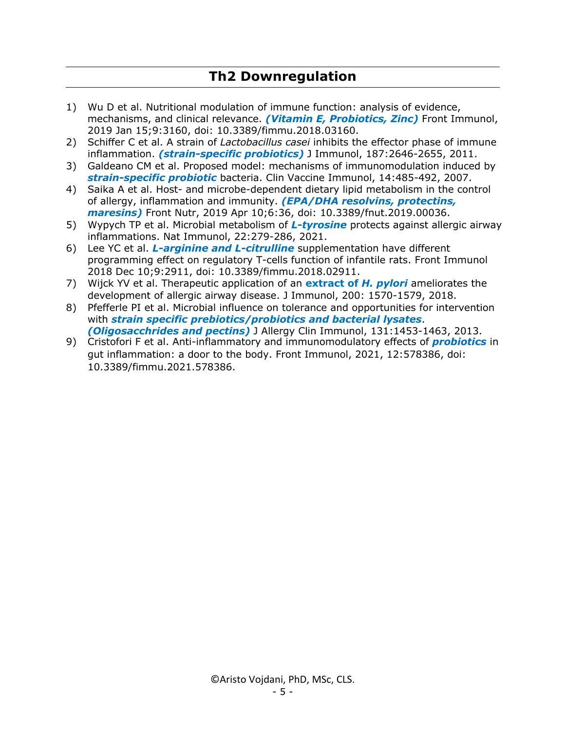#### **Th2 Downregulation**

- 1) Wu D et al. Nutritional modulation of immune function: analysis of evidence, mechanisms, and clinical relevance. *(Vitamin E, Probiotics, Zinc)* Front Immunol, 2019 Jan 15;9:3160, doi: 10.3389/fimmu.2018.03160.
- 2) Schiffer C et al. A strain of *Lactobacillus casei* inhibits the effector phase of immune inflammation. *(strain-specific probiotics)* J Immunol, 187:2646-2655, 2011.
- 3) Galdeano CM et al. Proposed model: mechanisms of immunomodulation induced by *strain-specific probiotic* bacteria. Clin Vaccine Immunol, 14:485-492, 2007.
- 4) Saika A et al. Host- and microbe-dependent dietary lipid metabolism in the control of allergy, inflammation and immunity. *(EPA/DHA resolvins, protectins, maresins)* Front Nutr, 2019 Apr 10;6:36, doi: 10.3389/fnut.2019.00036.
- 5) Wypych TP et al. Microbial metabolism of *L-tyrosine* protects against allergic airway inflammations. Nat Immunol, 22:279-286, 2021.
- 6) Lee YC et al. *L-arginine and L-citrulline* supplementation have different programming effect on regulatory T-cells function of infantile rats. Front Immunol 2018 Dec 10;9:2911, doi: 10.3389/fimmu.2018.02911.
- 7) Wijck YV et al. Therapeutic application of an **extract of** *H. pylori* ameliorates the development of allergic airway disease. J Immunol, 200: 1570-1579, 2018.
- 8) Pfefferle PI et al. Microbial influence on tolerance and opportunities for intervention with *strain specific prebiotics/probiotics and bacterial lysates*. *(Oligosacchrides and pectins)* J Allergy Clin Immunol, 131:1453-1463, 2013.
- 9) Cristofori F et al. Anti-inflammatory and immunomodulatory effects of *probiotics* in gut inflammation: a door to the body. Front Immunol, 2021, 12:578386, doi: 10.3389/fimmu.2021.578386.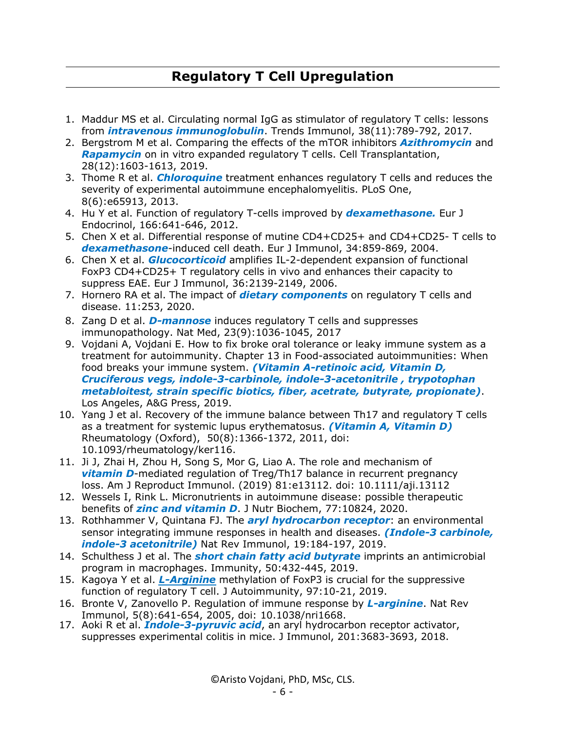# **Regulatory T Cell Upregulation**

- 1. Maddur MS et al. Circulating normal IgG as stimulator of regulatory T cells: lessons from *intravenous immunoglobulin*. Trends Immunol, 38(11):789-792, 2017.
- 2. Bergstrom M et al. Comparing the effects of the mTOR inhibitors *Azithromycin* and *Rapamycin* on in vitro expanded regulatory T cells. Cell Transplantation, 28(12):1603-1613, 2019.
- 3. Thome R et al. *Chloroquine* treatment enhances regulatory T cells and reduces the severity of experimental autoimmune encephalomyelitis. PLoS One, 8(6):e65913, 2013.
- 4. Hu Y et al. Function of regulatory T-cells improved by *dexamethasone.* Eur J Endocrinol, 166:641-646, 2012.
- 5. Chen X et al. Differential response of mutine CD4+CD25+ and CD4+CD25- T cells to *dexamethasone*-induced cell death. Eur J Immunol, 34:859-869, 2004.
- 6. Chen X et al. *Glucocorticoid* amplifies IL-2-dependent expansion of functional FoxP3 CD4+CD25+ T regulatory cells in vivo and enhances their capacity to suppress EAE. Eur J Immunol, 36:2139-2149, 2006.
- 7. Hornero RA et al. The impact of *dietary components* on regulatory T cells and disease. 11:253, 2020.
- 8. Zang D et al. *D-mannose* induces regulatory T cells and suppresses immunopathology. Nat Med, 23(9):1036-1045, 2017
- 9. Vojdani A, Vojdani E. How to fix broke oral tolerance or leaky immune system as a treatment for autoimmunity. Chapter 13 in Food-associated autoimmunities: When food breaks your immune system. *(Vitamin A-retinoic acid, Vitamin D, Cruciferous vegs, indole-3-carbinole, indole-3-acetonitrile , trypotophan metabloitest, strain specific biotics, fiber, acetrate, butyrate, propionate)*. Los Angeles, A&G Press, 2019.
- 10. Yang J et al. Recovery of the immune balance between Th17 and regulatory T cells as a treatment for systemic lupus erythematosus. *(Vitamin A, Vitamin D)* Rheumatology (Oxford), 50(8):1366-1372, 2011, doi: 10.1093/rheumatology/ker116.
- 11. Ji J, Zhai H, Zhou H, Song S, Mor G, Liao A. The role and mechanism of *vitamin D*-mediated regulation of Treg/Th17 balance in recurrent pregnancy loss. Am J Reproduct Immunol. (2019) 81:e13112. doi: 10.1111/aji.13112
- 12. Wessels I, Rink L. Micronutrients in autoimmune disease: possible therapeutic benefits of *zinc and vitamin D*. J Nutr Biochem, 77:10824, 2020.
- 13. Rothhammer V, Quintana FJ. The *aryl hydrocarbon receptor*: an environmental sensor integrating immune responses in health and diseases. *(Indole-3 carbinole, indole-3 acetonitrile)* Nat Rev Immunol, 19:184-197, 2019.
- 14. Schulthess J et al. The *short chain fatty acid butyrate* imprints an antimicrobial program in macrophages. Immunity, 50:432-445, 2019.
- 15. Kagoya Y et al. *L-Arginine* methylation of FoxP3 is crucial for the suppressive function of regulatory T cell. J Autoimmunity, 97:10-21, 2019.
- 16. Bronte V, Zanovello P. Regulation of immune response by *L-arginine*. Nat Rev Immunol, 5(8):641-654, 2005, doi: 10.1038/nri1668.
- 17. Aoki R et al. *Indole-3-pyruvic acid*, an aryl hydrocarbon receptor activator, suppresses experimental colitis in mice. J Immunol, 201:3683-3693, 2018.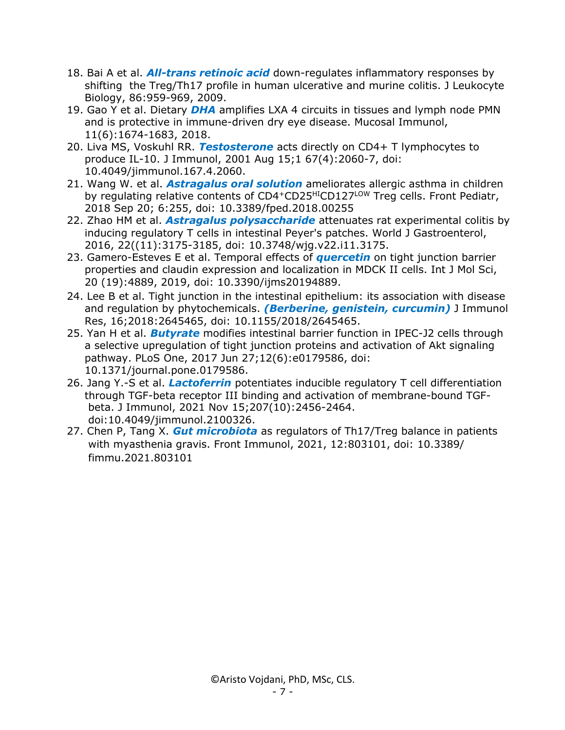- 18. Bai A et al. *All-trans retinoic acid* down-regulates inflammatory responses by shifting the Treg/Th17 profile in human ulcerative and murine colitis. J Leukocyte Biology, 86:959-969, 2009.
- 19. Gao Y et al. Dietary *DHA* amplifies LXA 4 circuits in tissues and lymph node PMN and is protective in immune-driven dry eye disease. Mucosal Immunol, 11(6):1674-1683, 2018.
- 20. Liva MS, Voskuhl RR. *Testosterone* acts directly on CD4+ T lymphocytes to produce IL-10. J Immunol, 2001 Aug 15;1 67(4):2060-7, doi: 10.4049/jimmunol.167.4.2060.
- 21. Wang W. et al. *Astragalus oral solution* ameliorates allergic asthma in children by regulating relative contents of CD4+CD25<sup>HI</sup>CD127<sup>LOW</sup> Treg cells. Front Pediatr, 2018 Sep 20; 6:255, doi: 10.3389/fped.2018.00255
- 22. Zhao HM et al. *Astragalus polysaccharide* attenuates rat experimental colitis by inducing regulatory T cells in intestinal Peyer's patches. World J Gastroenterol, 2016, 22((11):3175-3185, doi: 10.3748/wjg.v22.i11.3175.
- 23. Gamero-Esteves E et al. Temporal effects of *quercetin* on tight junction barrier properties and claudin expression and localization in MDCK II cells. Int J Mol Sci, 20 (19):4889, 2019, doi: 10.3390/ijms20194889.
- 24. Lee B et al. Tight junction in the intestinal epithelium: its association with disease and regulation by phytochemicals. *(Berberine, genistein, curcumin)* J Immunol Res, 16;2018:2645465, doi: 10.1155/2018/2645465.
- 25. Yan H et al. *Butyrate* modifies intestinal barrier function in IPEC-J2 cells through a selective upregulation of tight junction proteins and activation of Akt signaling pathway. PLoS One, 2017 Jun 27;12(6):e0179586, doi: 10.1371/journal.pone.0179586.
- 26. Jang Y.-S et al. *Lactoferrin* potentiates inducible regulatory T cell differentiation through TGF-beta receptor III binding and activation of membrane-bound TGF beta. J Immunol, 2021 Nov 15;207(10):2456-2464. doi:10.4049/jimmunol.2100326.
- 27. Chen P, Tang X. *Gut microbiota* as regulators of Th17/Treg balance in patients with myasthenia gravis. Front Immunol, 2021, 12:803101, doi: 10.3389/ fimmu.2021.803101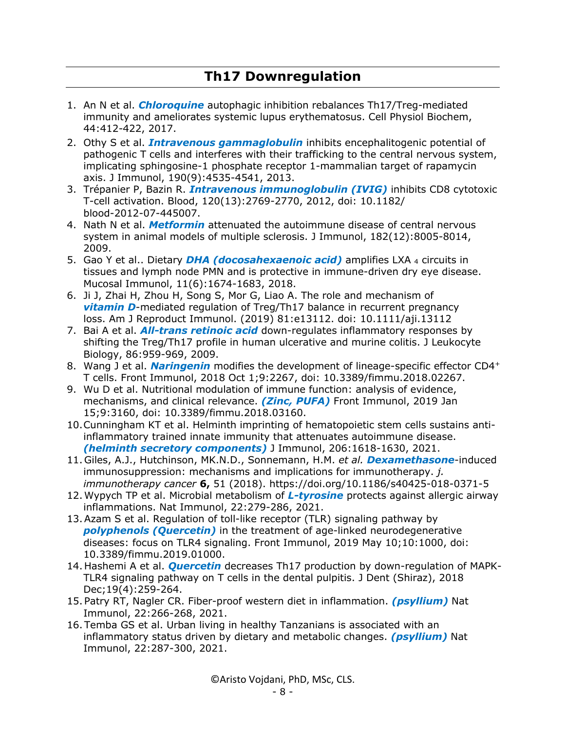#### **Th17 Downregulation**

- 1. An N et al. *Chloroquine* autophagic inhibition rebalances Th17/Treg-mediated immunity and ameliorates systemic lupus erythematosus. Cell Physiol Biochem, 44:412-422, 2017.
- 2. Othy S et al. *Intravenous gammaglobulin* inhibits encephalitogenic potential of pathogenic T cells and interferes with their trafficking to the central nervous system, implicating sphingosine-1 phosphate receptor 1-mammalian target of rapamycin axis. J Immunol, 190(9):4535-4541, 2013.
- 3. Trépanier P, Bazin R. *Intravenous immunoglobulin (IVIG)* inhibits CD8 cytotoxic T-cell activation. Blood, 120(13):2769-2770, 2012, doi: 10.1182/ blood-2012-07-445007.
- 4. Nath N et al. *Metformin* attenuated the autoimmune disease of central nervous system in animal models of multiple sclerosis. J Immunol, 182(12):8005-8014, 2009.
- 5. Gao Y et al.. Dietary *DHA (docosahexaenoic acid)* amplifies LXA <sup>4</sup> circuits in tissues and lymph node PMN and is protective in immune-driven dry eye disease. Mucosal Immunol, 11(6):1674-1683, 2018.
- 6. Ji J, Zhai H, Zhou H, Song S, Mor G, Liao A. The role and mechanism of *vitamin D*-mediated regulation of Treg/Th17 balance in recurrent pregnancy loss. Am J Reproduct Immunol. (2019) 81:e13112. doi: 10.1111/aji.13112
- 7. Bai A et al. *All-trans retinoic acid* down-regulates inflammatory responses by shifting the Treg/Th17 profile in human ulcerative and murine colitis. J Leukocyte Biology, 86:959-969, 2009.
- 8. Wang J et al. *Naringenin* modifies the development of lineage-specific effector CD4<sup>+</sup> T cells. Front Immunol, 2018 Oct 1;9:2267, doi: 10.3389/fimmu.2018.02267.
- 9. Wu D et al. Nutritional modulation of immune function: analysis of evidence, mechanisms, and clinical relevance. *(Zinc, PUFA)* Front Immunol, 2019 Jan 15;9:3160, doi: 10.3389/fimmu.2018.03160.
- 10.Cunningham KT et al. Helminth imprinting of hematopoietic stem cells sustains antiinflammatory trained innate immunity that attenuates autoimmune disease. *(helminth secretory components)* J Immunol, 206:1618-1630, 2021.
- 11. Giles, A.J., Hutchinson, MK.N.D., Sonnemann, H.M. *et al. Dexamethasone*-induced immunosuppression: mechanisms and implications for immunotherapy. *j. immunotherapy cancer* **6,** 51 (2018). https://doi.org/10.1186/s40425-018-0371-5
- 12.Wypych TP et al. Microbial metabolism of *L-tyrosine* protects against allergic airway inflammations. Nat Immunol, 22:279-286, 2021.
- 13.Azam S et al. Regulation of toll-like receptor (TLR) signaling pathway by *polyphenols (Quercetin)* in the treatment of age-linked neurodegenerative diseases: focus on TLR4 signaling. Front Immunol, 2019 May 10;10:1000, doi: 10.3389/fimmu.2019.01000.
- 14. Hashemi A et al. *Quercetin* decreases Th17 production by down-regulation of MAPK-TLR4 signaling pathway on T cells in the dental pulpitis. J Dent (Shiraz), 2018 Dec;19(4):259-264.
- 15. Patry RT, Nagler CR. Fiber-proof western diet in inflammation. *(psyllium)* Nat Immunol, 22:266-268, 2021.
- 16. Temba GS et al. Urban living in healthy Tanzanians is associated with an inflammatory status driven by dietary and metabolic changes. *(psyllium)* Nat Immunol, 22:287-300, 2021.

©Aristo Vojdani, PhD, MSc, CLS.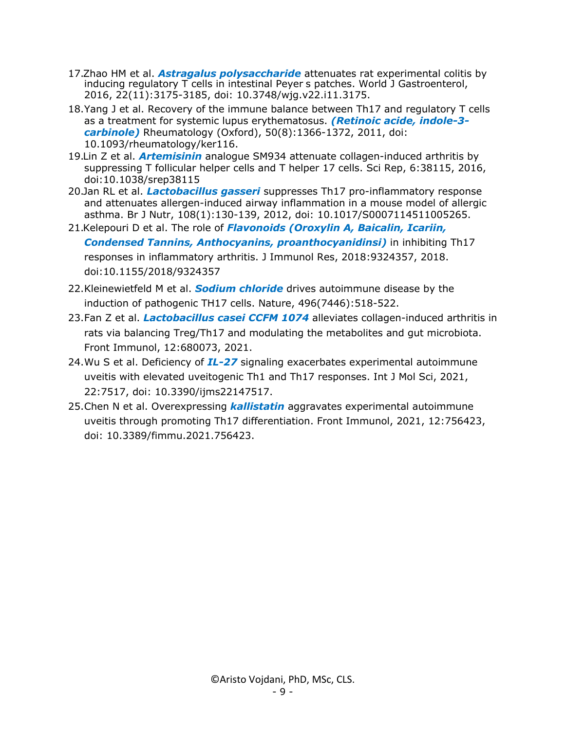- 17.Zhao HM et al. *Astragalus polysaccharide* attenuates rat experimental colitis by inducing regulatory T cells in intestinal Peyer s patches. World J Gastroenterol, 2016, 22(11):3175-3185, doi: 10.3748/wjg.v22.i11.3175.
- 18.Yang J et al. Recovery of the immune balance between Th17 and regulatory T cells as a treatment for systemic lupus erythematosus. *(Retinoic acide, indole-3 carbinole)* Rheumatology (Oxford), 50(8):1366-1372, 2011, doi: 10.1093/rheumatology/ker116.
- 19.Lin Z et al. *Artemisinin* analogue SM934 attenuate collagen-induced arthritis by suppressing T follicular helper cells and T helper 17 cells. Sci Rep, 6:38115, 2016, doi:10.1038/srep38115
- 20.Jan RL et al. *Lactobacillus gasseri* suppresses Th17 pro-inflammatory response and attenuates allergen-induced airway inflammation in a mouse model of allergic asthma. Br J Nutr, 108(1):130-139, 2012, doi: 10.1017/S0007114511005265.
- 21.Kelepouri D et al. The role of *Flavonoids (Oroxylin A, Baicalin, Icariin,*

*Condensed Tannins, Anthocyanins, proanthocyanidinsi)* in inhibiting Th17 responses in inflammatory arthritis. J Immunol Res, 2018:9324357, 2018. doi:10.1155/2018/9324357

- 22.Kleinewietfeld M et al. *Sodium chloride* drives autoimmune disease by the induction of pathogenic TH17 cells. Nature, 496(7446):518-522.
- 23.Fan Z et al. *Lactobacillus casei CCFM 1074* alleviates collagen-induced arthritis in rats via balancing Treg/Th17 and modulating the metabolites and gut microbiota. Front Immunol, 12:680073, 2021.
- 24.Wu S et al. Deficiency of *IL-27* signaling exacerbates experimental autoimmune uveitis with elevated uveitogenic Th1 and Th17 responses. Int J Mol Sci, 2021, 22:7517, doi: 10.3390/ijms22147517.
- 25.Chen N et al. Overexpressing *kallistatin* aggravates experimental autoimmune uveitis through promoting Th17 differentiation. Front Immunol, 2021, 12:756423, doi: 10.3389/fimmu.2021.756423.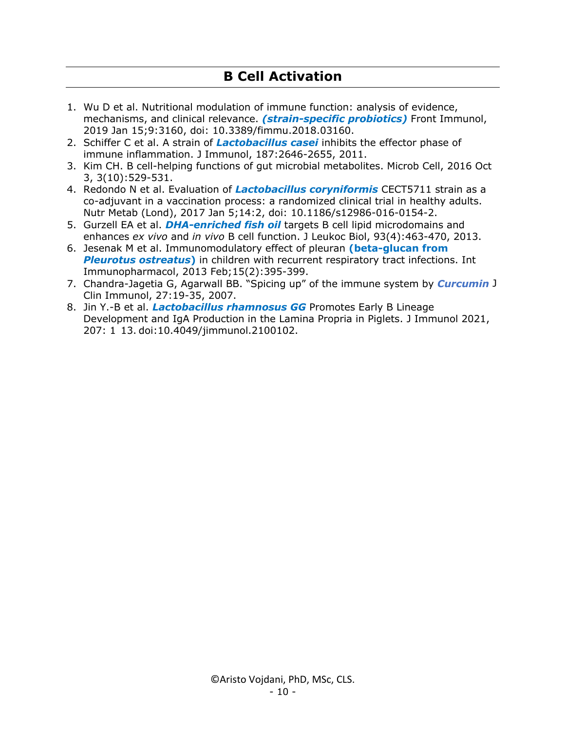## **B Cell Activation**

- 1. Wu D et al. Nutritional modulation of immune function: analysis of evidence, mechanisms, and clinical relevance. *(strain-specific probiotics)* Front Immunol, 2019 Jan 15;9:3160, doi: 10.3389/fimmu.2018.03160.
- 2. Schiffer C et al. A strain of *Lactobacillus casei* inhibits the effector phase of immune inflammation. J Immunol, 187:2646-2655, 2011.
- 3. Kim CH. B cell-helping functions of gut microbial metabolites. Microb Cell, 2016 Oct 3, 3(10):529-531.
- 4. Redondo N et al. Evaluation of *Lactobacillus coryniformis* CECT5711 strain as a co-adjuvant in a vaccination process: a randomized clinical trial in healthy adults. Nutr Metab (Lond), 2017 Jan 5;14:2, doi: 10.1186/s12986-016-0154-2.
- 5. Gurzell EA et al. *DHA-enriched fish oil* targets B cell lipid microdomains and enhances *ex vivo* and *in vivo* B cell function. J Leukoc Biol, 93(4):463-470, 2013.
- 6. Jesenak M et al. Immunomodulatory effect of pleuran **(beta-glucan from** *Pleurotus ostreatus***)** in children with recurrent respiratory tract infections. Int Immunopharmacol, 2013 Feb;15(2):395-399.
- 7. Chandra-Jagetia G, Agarwall BB. "Spicing up" of the immune system by *Curcumin* J Clin Immunol, 27:19-35, 2007.
- 8. Jin Y.-B et al. *Lactobacillus rhamnosus GG* Promotes Early B Lineage Development and IgA Production in the Lamina Propria in Piglets. J Immunol 2021, 207: 1 13. doi:10.4049/jimmunol.2100102.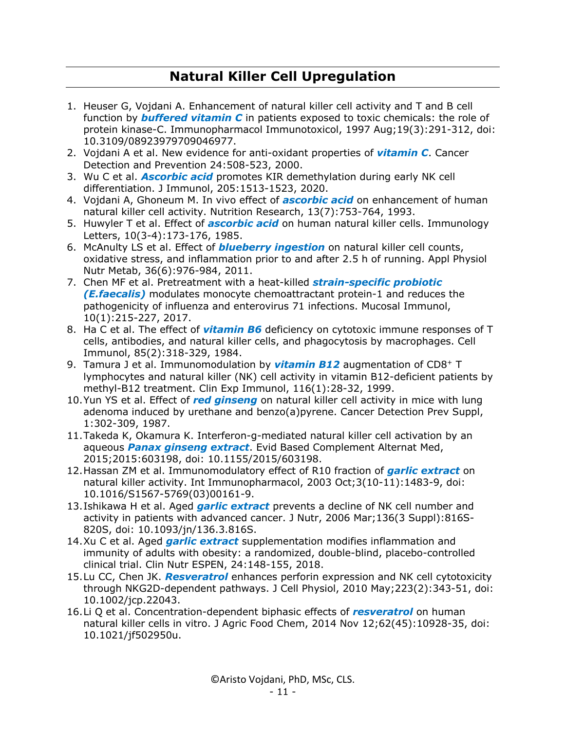# **Natural Killer Cell Upregulation**

- 1. Heuser G, Vojdani A. Enhancement of natural killer cell activity and T and B cell function by *buffered vitamin C* in patients exposed to toxic chemicals: the role of protein kinase-C. Immunopharmacol Immunotoxicol, 1997 Aug;19(3):291-312, doi: 10.3109/08923979709046977.
- 2. Vojdani A et al. New evidence for anti-oxidant properties of *vitamin C*. Cancer Detection and Prevention 24:508-523, 2000.
- 3. Wu C et al. *Ascorbic acid* promotes KIR demethylation during early NK cell differentiation. J Immunol, 205:1513-1523, 2020.
- 4. Vojdani A, Ghoneum M. In vivo effect of *ascorbic acid* on enhancement of human natural killer cell activity. Nutrition Research, 13(7):753-764, 1993.
- 5. Huwyler T et al. Effect of *ascorbic acid* on human natural killer cells. Immunology Letters, 10(3-4):173-176, 1985.
- 6. McAnulty LS et al. Effect of *blueberry ingestion* on natural killer cell counts, oxidative stress, and inflammation prior to and after 2.5 h of running. Appl Physiol Nutr Metab, 36(6):976-984, 2011.
- 7. Chen MF et al. Pretreatment with a heat-killed *strain-specific probiotic (E.faecalis)* modulates monocyte chemoattractant protein-1 and reduces the pathogenicity of influenza and enterovirus 71 infections. Mucosal Immunol, 10(1):215-227, 2017.
- 8. Ha C et al. The effect of *vitamin B6* deficiency on cytotoxic immune responses of T cells, antibodies, and natural killer cells, and phagocytosis by macrophages. Cell Immunol, 85(2):318-329, 1984.
- 9. Tamura J et al. Immunomodulation by *vitamin B12* augmentation of CD8+ T lymphocytes and natural killer (NK) cell activity in vitamin B12-deficient patients by methyl-B12 treatment. Clin Exp Immunol, 116(1):28-32, 1999.
- 10.Yun YS et al. Effect of *red ginseng* on natural killer cell activity in mice with lung adenoma induced by urethane and benzo(a)pyrene. Cancer Detection Prev Suppl, 1:302-309, 1987.
- 11.Takeda K, Okamura K. Interferon-g-mediated natural killer cell activation by an aqueous *Panax ginseng extract*. Evid Based Complement Alternat Med, 2015;2015:603198, doi: 10.1155/2015/603198.
- 12.Hassan ZM et al. Immunomodulatory effect of R10 fraction of *garlic extract* on natural killer activity. Int Immunopharmacol, 2003 Oct;3(10-11):1483-9, doi: 10.1016/S1567-5769(03)00161-9.
- 13.Ishikawa H et al. Aged *garlic extract* prevents a decline of NK cell number and activity in patients with advanced cancer. J Nutr, 2006 Mar;136(3 Suppl):816S-820S, doi: 10.1093/jn/136.3.816S.
- 14.Xu C et al. Aged *garlic extract* supplementation modifies inflammation and immunity of adults with obesity: a randomized, double-blind, placebo-controlled clinical trial. Clin Nutr ESPEN, 24:148-155, 2018.
- 15.Lu CC, Chen JK. *Resveratrol* enhances perforin expression and NK cell cytotoxicity through NKG2D-dependent pathways. J Cell Physiol, 2010 May;223(2):343-51, doi: 10.1002/jcp.22043.
- 16.Li Q et al. Concentration-dependent biphasic effects of *resveratrol* on human natural killer cells in vitro. J Agric Food Chem, 2014 Nov 12;62(45):10928-35, doi: 10.1021/jf502950u.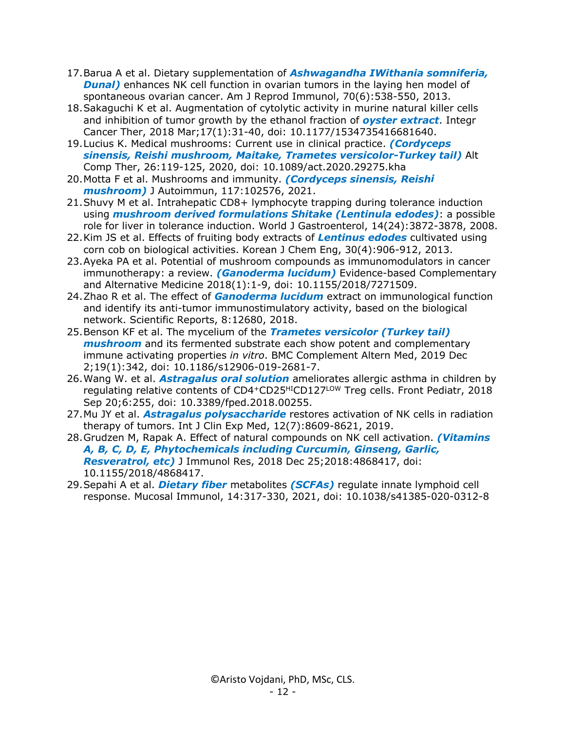- 17.Barua A et al. Dietary supplementation of *Ashwagandha IWithania somniferia,* **Dunal**) enhances NK cell function in ovarian tumors in the laying hen model of spontaneous ovarian cancer. Am J Reprod Immunol, 70(6):538-550, 2013.
- 18.Sakaguchi K et al. Augmentation of cytolytic activity in murine natural killer cells and inhibition of tumor growth by the ethanol fraction of *oyster extract*. Integr Cancer Ther, 2018 Mar;17(1):31-40, doi: 10.1177/1534735416681640.
- 19.Lucius K. Medical mushrooms: Current use in clinical practice. *(Cordyceps sinensis, Reishi mushroom, Maitake, Trametes versicolor-Turkey tail)* Alt Comp Ther, 26:119-125, 2020, doi: 10.1089/act.2020.29275.kha
- 20.Motta F et al. Mushrooms and immunity. *(Cordyceps sinensis, Reishi mushroom)* J Autoimmun, 117:102576, 2021.
- 21.Shuvy M et al. Intrahepatic CD8+ lymphocyte trapping during tolerance induction using *mushroom derived formulations Shitake (Lentinula edodes)*: a possible role for liver in tolerance induction. World J Gastroenterol, 14(24):3872-3878, 2008.
- 22.Kim JS et al. Effects of fruiting body extracts of *Lentinus edodes* cultivated using corn cob on biological activities. Korean J Chem Eng, 30(4):906-912, 2013.
- 23.Ayeka PA et al. Potential of mushroom compounds as immunomodulators in cancer immunotherapy: a review. *(Ganoderma lucidum)* Evidence-based Complementary and Alternative Medicine 2018(1):1-9, doi: 10.1155/2018/7271509.
- 24.Zhao R et al. The effect of *Ganoderma lucidum* extract on immunological function and identify its anti-tumor immunostimulatory activity, based on the biological network. Scientific Reports, 8:12680, 2018.
- 25.Benson KF et al. The mycelium of the *Trametes versicolor (Turkey tail) mushroom* and its fermented substrate each show potent and complementary immune activating properties *in vitro*. BMC Complement Altern Med, 2019 Dec 2;19(1):342, doi: 10.1186/s12906-019-2681-7.
- 26.Wang W. et al. *Astragalus oral solution* ameliorates allergic asthma in children by regulating relative contents of CD4+CD25<sup>HI</sup>CD127<sup>LOW</sup> Treg cells. Front Pediatr, 2018 Sep 20;6:255, doi: 10.3389/fped.2018.00255.
- 27.Mu JY et al. *Astragalus polysaccharide* restores activation of NK cells in radiation therapy of tumors. Int J Clin Exp Med, 12(7):8609-8621, 2019.
- 28.Grudzen M, Rapak A. Effect of natural compounds on NK cell activation. *(Vitamins A, B, C, D, E, Phytochemicals including Curcumin, Ginseng, Garlic, Resveratrol, etc)* J Immunol Res, 2018 Dec 25;2018:4868417, doi: 10.1155/2018/4868417.
- 29.Sepahi A et al. *Dietary fiber* metabolites *(SCFAs)* regulate innate lymphoid cell response. Mucosal Immunol, 14:317-330, 2021, doi: 10.1038/s41385-020-0312-8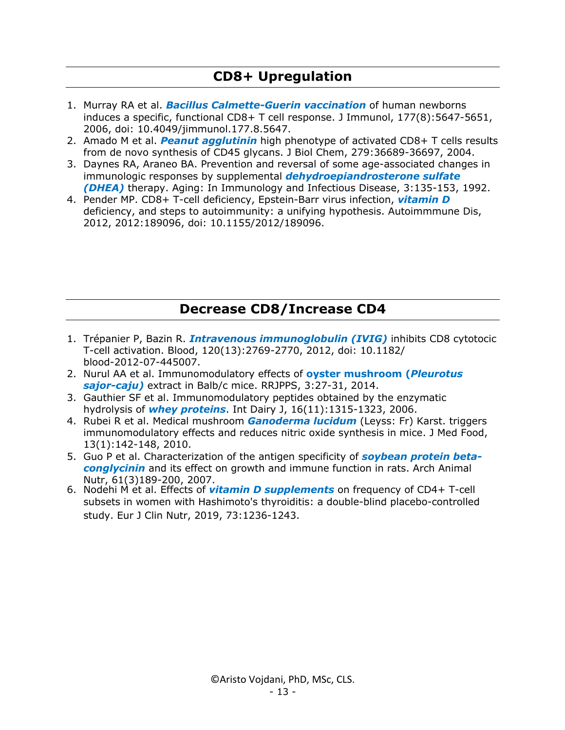### **CD8+ Upregulation**

- 1. Murray RA et al. *Bacillus Calmette-Guerin vaccination* of human newborns induces a specific, functional CD8+ T cell response. J Immunol, 177(8):5647-5651, 2006, doi: 10.4049/jimmunol.177.8.5647.
- 2. Amado M et al. *Peanut agglutinin* high phenotype of activated CD8+ T cells results from de novo synthesis of CD45 glycans. J Biol Chem, 279:36689-36697, 2004.
- 3. Daynes RA, Araneo BA. Prevention and reversal of some age-associated changes in immunologic responses by supplemental *dehydroepiandrosterone sulfate (DHEA)* therapy. Aging: In Immunology and Infectious Disease, 3:135-153, 1992.
- 4. Pender MP. CD8+ T-cell deficiency, Epstein-Barr virus infection, *vitamin D* deficiency, and steps to autoimmunity: a unifying hypothesis. Autoimmmune Dis, 2012, 2012:189096, doi: 10.1155/2012/189096.

#### **Decrease CD8/Increase CD4**

- 1. Trépanier P, Bazin R. *Intravenous immunoglobulin (IVIG)* inhibits CD8 cytotocic T-cell activation. Blood, 120(13):2769-2770, 2012, doi: 10.1182/ blood-2012-07-445007.
- 2. Nurul AA et al. Immunomodulatory effects of **oyster mushroom (***Pleurotus sajor-caju)* extract in Balb/c mice. RRJPPS, 3:27-31, 2014.
- 3. Gauthier SF et al. Immunomodulatory peptides obtained by the enzymatic hydrolysis of *whey proteins*. Int Dairy J, 16(11):1315-1323, 2006.
- 4. Rubei R et al. Medical mushroom *Ganoderma lucidum* (Leyss: Fr) Karst. triggers immunomodulatory effects and reduces nitric oxide synthesis in mice. J Med Food, 13(1):142-148, 2010.
- 5. Guo P et al. Characterization of the antigen specificity of *soybean protein betaconglycinin* and its effect on growth and immune function in rats. Arch Animal Nutr, 61(3)189-200, 2007.
- 6. Nodehi M et al. Effects of *vitamin D supplements* on frequency of CD4+ T-cell subsets in women with Hashimoto's thyroiditis: a double-blind placebo-controlled study. Eur J Clin Nutr, 2019, 73:1236-1243.